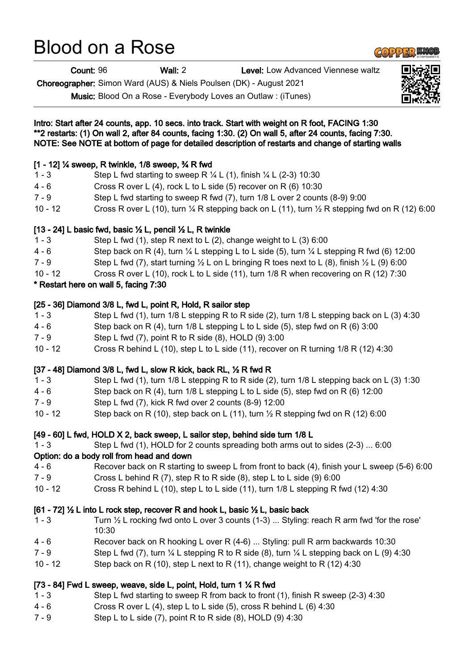# Blood on a Rose

Count: 96 Wall: 2 Level: Low Advanced Viennese waltz

Choreographer: Simon Ward (AUS) & Niels Poulsen (DK) - August 2021

Music: Blood On a Rose - Everybody Loves an Outlaw : (iTunes)



- 4 6 Cross R over L (4), step L to L side (5), cross R behind L (6) 4:30
- 7 9 Step L to L side (7), point R to R side (8), HOLD (9) 4:30